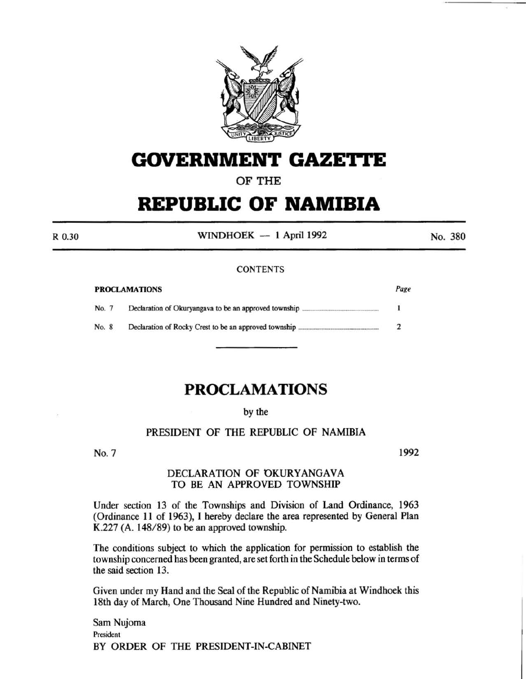

# **GOVERNMENT GAZE'rtE**

# OF THE

# **REPUBLIC OF NAMIBIA**

R 0.30

WINDHOEK  $-1$  April 1992

No. 380

#### **CONTENTS**

| <b>PROCLAMATIONS</b> |  | Page |  |
|----------------------|--|------|--|
| No. 7                |  |      |  |
| No. 8                |  |      |  |

# **PROCLAMATIONS**

#### by the

# PRESIDENT OF THE REPUBLIC OF NAMIBIA

No. 7

1992

#### DECLARATION OF OKURYANGAVA TO BE AN APPROVED TOWNSHIP

Under section 13 of the Townships and Division of Land Ordinance, 1963 (Ordinance 11 of 1963}, I hereby declare the area represented by General Plan K.227 (A.  $148/89$ ) to be an approved township.

The conditions subject to which the application for permission to establish the township concerned has been granted, are set forth in the Schedule below in terms of the said section 13.

Given under my Hand and the Seal of the Republic of Namibia at Windhoek this 18th day of March, One Thousand Nine Hundred and Ninety-two.

Sam Nujoma President BY ORDER OF THE PRESIDENT-IN-CABINET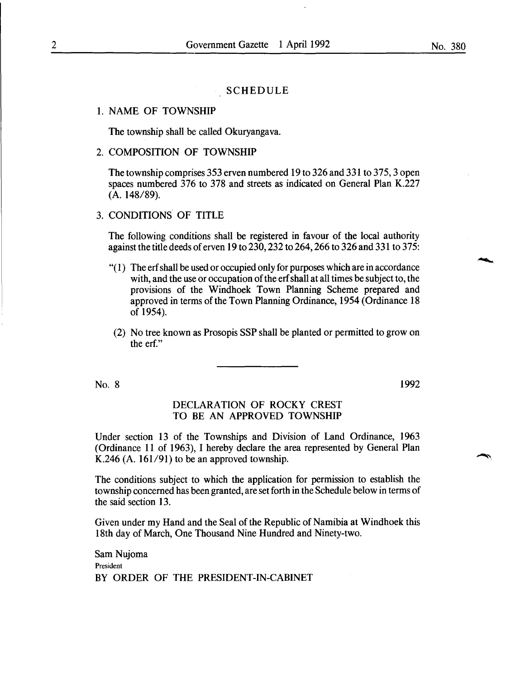#### **SCHEDULE**

#### 1. NAME OF TOWNSHIP

The township shall be called Okuryangava.

### 2. COMPOSITION OF TOWNSHIP

The township comprises 353 erven numbered 19 to 326 and 331 to 375, 3 open spaces numbered 376 to 378 and streets as indicated on General Plan K.227 (A. 148/89).

### 3. CONDITIONS OF TITLE

The following conditions shall be registered in favour of the local authority against the title deeds of erven 19 to 230, 232 to 264, 266 to 326 and 331 to 375:

- "( 1) The erf shall be used or occupied only for purposes which are in accordance with, and the use or occupation of the erf shall at all times be subject to, the provisions of the Windhoek Town Planning Scheme prepared and approved in terms of the Town Planning Ordinance, 1954 (Ordinance 18 of 1954).
- (2) No tree known as Prosopis SSP shall be planted or permitted to grow on the erf."

No. 8

1992

#### DECLARATION OF ROCKY CREST TO BE AN APPROVED TOWNSHIP

Under section 13 of the Townships and Division of Land Ordinance, 1963 (Ordinance 11 of 1963), I hereby declare the area represented by General Plan K.246 (A.  $161/91$ ) to be an approved township.

The conditions subject to which the application for permission to establish the township concerned has been granted, are set forth in the Schedule below in terms of the said section 13.

Given under my Hand and the Seal of the Republic of Namibia at Windhoek this 18th day of March, One Thousand Nine Hundred and Ninety-two.

Sam Nujoma President BY ORDER OF THE PRESIDENT-IN-CABINET